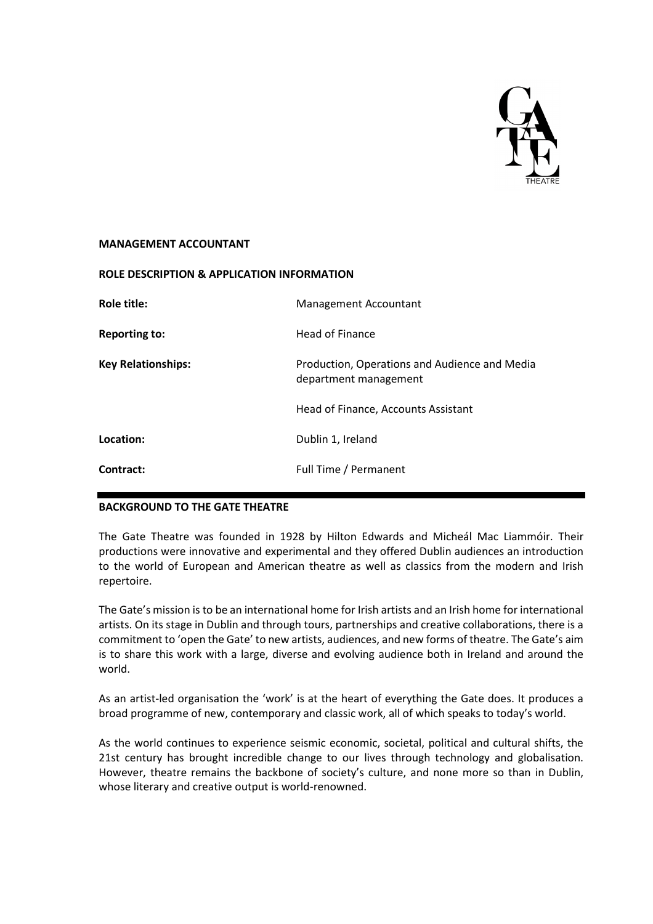

#### **MANAGEMENT ACCOUNTANT**

| <b>ROLE DESCRIPTION &amp; APPLICATION INFORMATION</b> |                                                                        |
|-------------------------------------------------------|------------------------------------------------------------------------|
| Role title:                                           | Management Accountant                                                  |
| <b>Reporting to:</b>                                  | <b>Head of Finance</b>                                                 |
| <b>Key Relationships:</b>                             | Production, Operations and Audience and Media<br>department management |
|                                                       | Head of Finance, Accounts Assistant                                    |
| Location:                                             | Dublin 1, Ireland                                                      |
| Contract:                                             | Full Time / Permanent                                                  |

# **BACKGROUND TO THE GATE THEATRE**

The Gate Theatre was founded in 1928 by Hilton Edwards and Micheál Mac Liammóir. Their productions were innovative and experimental and they offered Dublin audiences an introduction to the world of European and American theatre as well as classics from the modern and Irish repertoire.

The Gate's mission is to be an international home for Irish artists and an Irish home for international artists. On its stage in Dublin and through tours, partnerships and creative collaborations, there is a commitment to 'open the Gate' to new artists, audiences, and new forms of theatre. The Gate's aim is to share this work with a large, diverse and evolving audience both in Ireland and around the world.

As an artist-led organisation the 'work' is at the heart of everything the Gate does. It produces a broad programme of new, contemporary and classic work, all of which speaks to today's world.

As the world continues to experience seismic economic, societal, political and cultural shifts, the 21st century has brought incredible change to our lives through technology and globalisation. However, theatre remains the backbone of society's culture, and none more so than in Dublin, whose literary and creative output is world-renowned.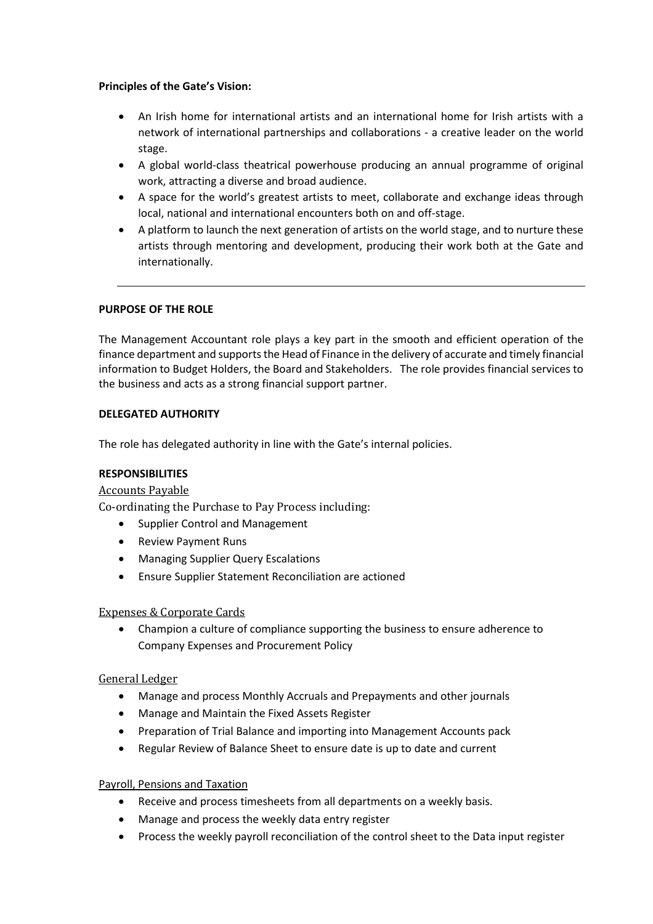## **Principles of the Gate's Vision:**

- An Irish home for international artists and an international home for Irish artists with a network of international partnerships and collaborations - a creative leader on the world stage.
- A global world-class theatrical powerhouse producing an annual programme of original work, attracting a diverse and broad audience.
- A space for the world's greatest artists to meet, collaborate and exchange ideas through local, national and international encounters both on and off-stage.
- A platform to launch the next generation of artists on the world stage, and to nurture these artists through mentoring and development, producing their work both at the Gate and internationally.

# **PURPOSE OF THE ROLE**

The Management Accountant role plays a key part in the smooth and efficient operation of the finance department and supports the Head of Finance in the delivery of accurate and timely financial information to Budget Holders, the Board and Stakeholders. The role provides financial services to the business and acts as a strong financial support partner.

## **DELEGATED AUTHORITY**

The role has delegated authority in line with the Gate's internal policies.

#### **RESPONSIBILITIES**

#### Accounts Payable

Co-ordinating the Purchase to Pay Process including:

- Supplier Control and Management
- Review Payment Runs
- Managing Supplier Query Escalations
- Ensure Supplier Statement Reconciliation are actioned

#### Expenses & Corporate Cards

• Champion a culture of compliance supporting the business to ensure adherence to Company Expenses and Procurement Policy

#### General Ledger

- Manage and process Monthly Accruals and Prepayments and other journals
- Manage and Maintain the Fixed Assets Register
- Preparation of Trial Balance and importing into Management Accounts pack
- Regular Review of Balance Sheet to ensure date is up to date and current

#### Payroll, Pensions and Taxation

- Receive and process timesheets from all departments on a weekly basis.
- Manage and process the weekly data entry register
- Process the weekly payroll reconciliation of the control sheet to the Data input register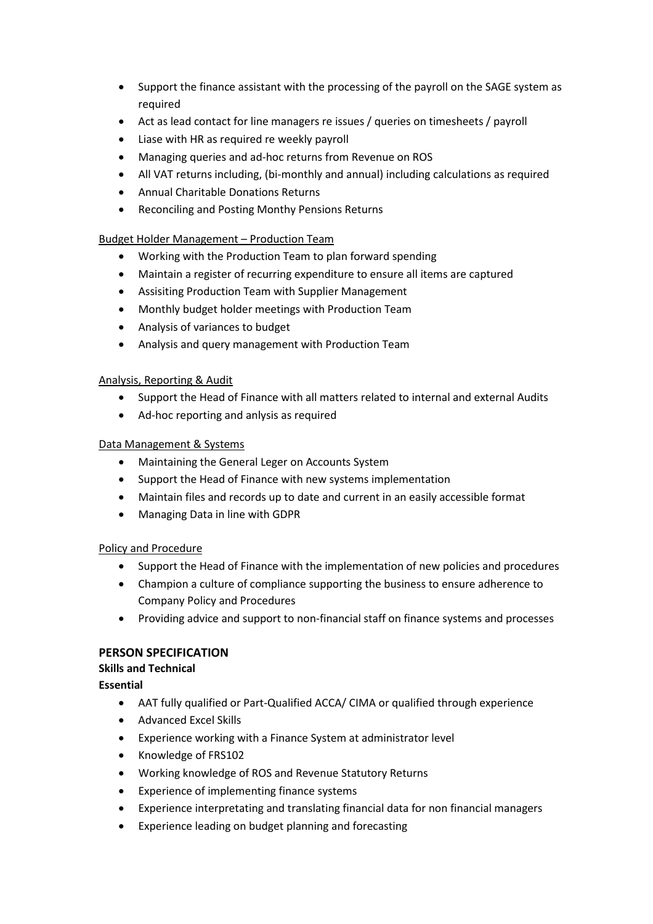- Support the finance assistant with the processing of the payroll on the SAGE system as required
- Act as lead contact for line managers re issues / queries on timesheets / payroll
- Liase with HR as required re weekly payroll
- Managing queries and ad-hoc returns from Revenue on ROS
- All VAT returns including, (bi-monthly and annual) including calculations as required
- Annual Charitable Donations Returns
- Reconciling and Posting Monthy Pensions Returns

# Budget Holder Management – Production Team

- Working with the Production Team to plan forward spending
- Maintain a register of recurring expenditure to ensure all items are captured
- Assisiting Production Team with Supplier Management
- Monthly budget holder meetings with Production Team
- Analysis of variances to budget
- Analysis and query management with Production Team

## Analysis, Reporting & Audit

- Support the Head of Finance with all matters related to internal and external Audits
- Ad-hoc reporting and anlysis as required

## Data Management & Systems

- Maintaining the General Leger on Accounts System
- Support the Head of Finance with new systems implementation
- Maintain files and records up to date and current in an easily accessible format
- Managing Data in line with GDPR

# Policy and Procedure

- Support the Head of Finance with the implementation of new policies and procedures
- Champion a culture of compliance supporting the business to ensure adherence to Company Policy and Procedures
- Providing advice and support to non-financial staff on finance systems and processes

# **PERSON SPECIFICATION**

# **Skills and Technical**

**Essential** 

- AAT fully qualified or Part-Qualified ACCA/ CIMA or qualified through experience
- Advanced Excel Skills
- Experience working with a Finance System at administrator level
- Knowledge of FRS102
- Working knowledge of ROS and Revenue Statutory Returns
- Experience of implementing finance systems
- Experience interpretating and translating financial data for non financial managers
- Experience leading on budget planning and forecasting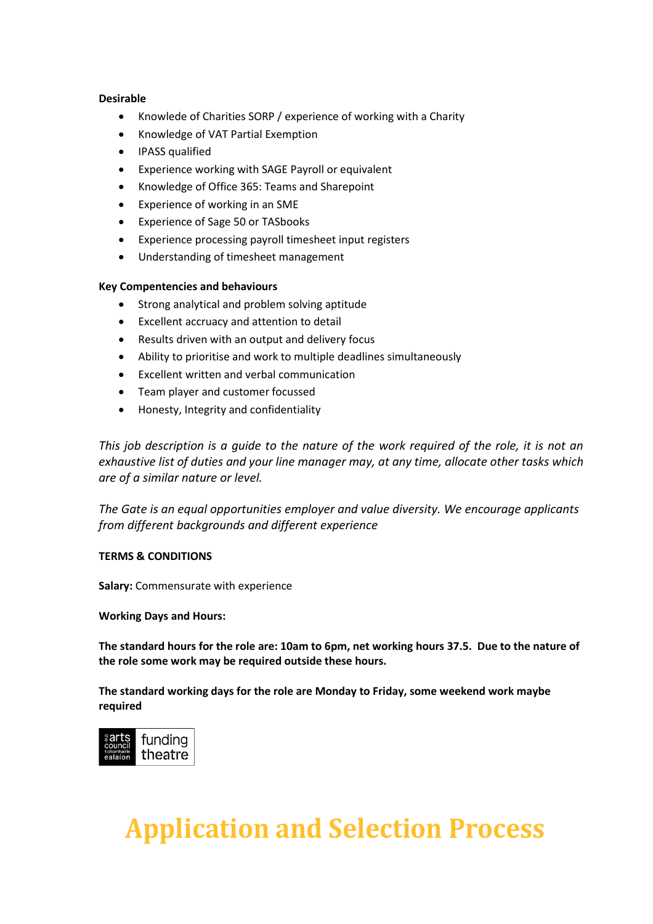## **Desirable**

- Knowlede of Charities SORP / experience of working with a Charity
- Knowledge of VAT Partial Exemption
- IPASS qualified
- Experience working with SAGE Payroll or equivalent
- Knowledge of Office 365: Teams and Sharepoint
- Experience of working in an SME
- Experience of Sage 50 or TASbooks
- Experience processing payroll timesheet input registers
- Understanding of timesheet management

## **Key Compentencies and behaviours**

- Strong analytical and problem solving aptitude
- Excellent accruacy and attention to detail
- Results driven with an output and delivery focus
- Ability to prioritise and work to multiple deadlines simultaneously
- Excellent written and verbal communication
- Team player and customer focussed
- Honesty, Integrity and confidentiality

*This job description is a guide to the nature of the work required of the role, it is not an exhaustive list of duties and your line manager may, at any time, allocate other tasks which are of a similar nature or level.*

*The Gate is an equal opportunities employer and value diversity. We encourage applicants from different backgrounds and different experience* 

# **TERMS & CONDITIONS**

**Salary:** Commensurate with experience

#### **Working Days and Hours:**

**The standard hours for the role are: 10am to 6pm, net working hours 37.5. Due to the nature of the role some work may be required outside these hours.**

**The standard working days for the role are Monday to Friday, some weekend work maybe required**



# **Application and Selection Process**